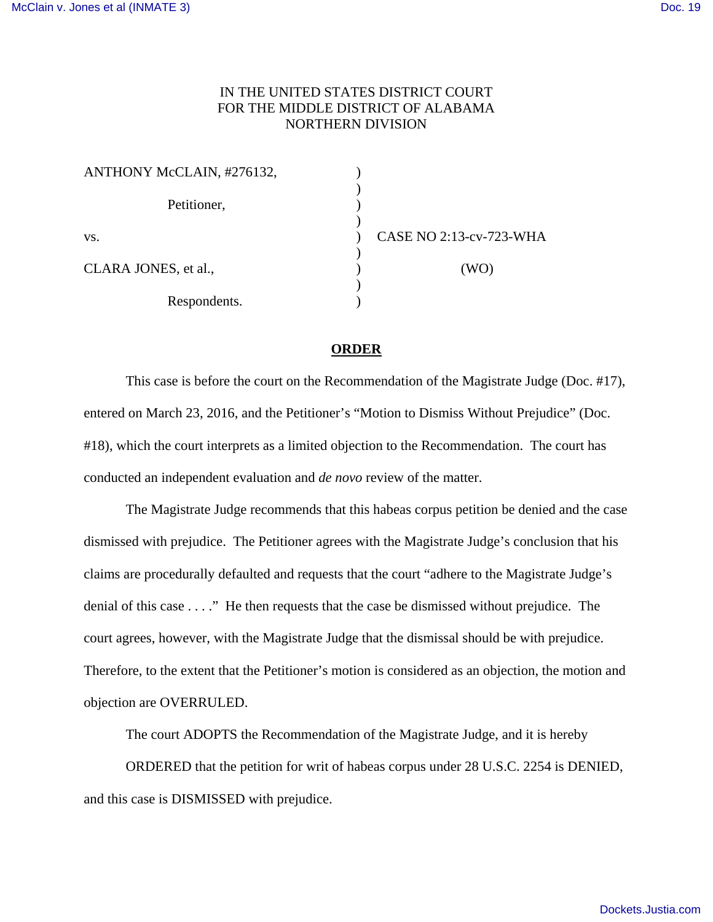## IN THE UNITED STATES DISTRICT COURT FOR THE MIDDLE DISTRICT OF ALABAMA NORTHERN DIVISION

| ANTHONY McCLAIN, #276132, |                         |
|---------------------------|-------------------------|
| Petitioner,               |                         |
| VS.                       | CASE NO 2:13-cv-723-WHA |
| CLARA JONES, et al.,      | (WO)                    |
|                           |                         |
| Respondents.              |                         |

## **ORDER**

 This case is before the court on the Recommendation of the Magistrate Judge (Doc. #17), entered on March 23, 2016, and the Petitioner's "Motion to Dismiss Without Prejudice" (Doc. #18), which the court interprets as a limited objection to the Recommendation. The court has conducted an independent evaluation and *de novo* review of the matter.

 The Magistrate Judge recommends that this habeas corpus petition be denied and the case dismissed with prejudice. The Petitioner agrees with the Magistrate Judge's conclusion that his claims are procedurally defaulted and requests that the court "adhere to the Magistrate Judge's denial of this case . . . ." He then requests that the case be dismissed without prejudice. The court agrees, however, with the Magistrate Judge that the dismissal should be with prejudice. Therefore, to the extent that the Petitioner's motion is considered as an objection, the motion and objection are OVERRULED.

The court ADOPTS the Recommendation of the Magistrate Judge, and it is hereby

 ORDERED that the petition for writ of habeas corpus under 28 U.S.C. 2254 is DENIED, and this case is DISMISSED with prejudice.